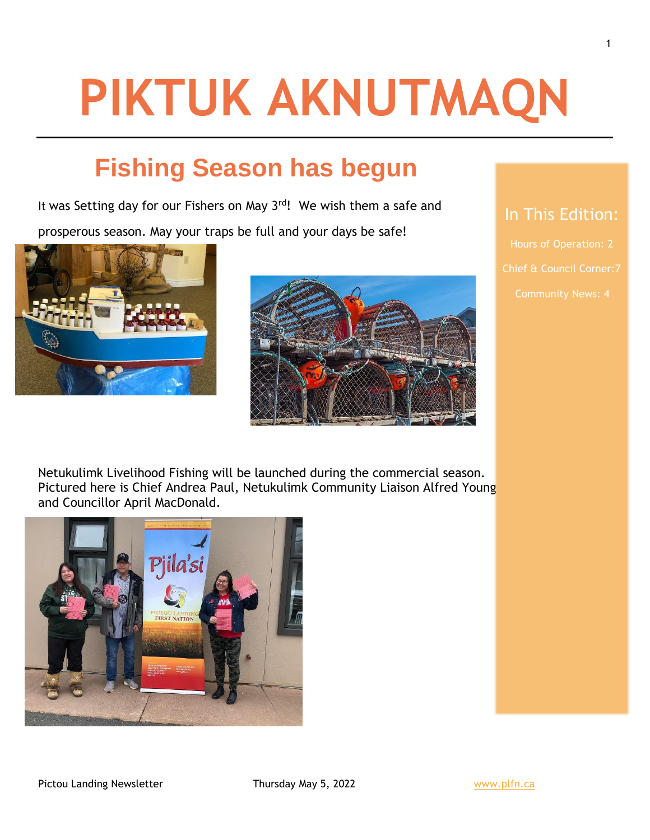# **PIKTUK AKNUTMAQN**

## **Fishing Season has begun**

It was Setting day for our Fishers on May 3<sup>rd</sup>! We wish them a safe and

prosperous season. May your traps be full and your days be safe!





### In This Edition:

Hours of Operation: 2

Netukulimk Livelihood Fishing will be launched during the commercial season. Pictured here is Chief Andrea Paul, Netukulimk Community Liaison Alfred Young and Councillor April MacDonald.

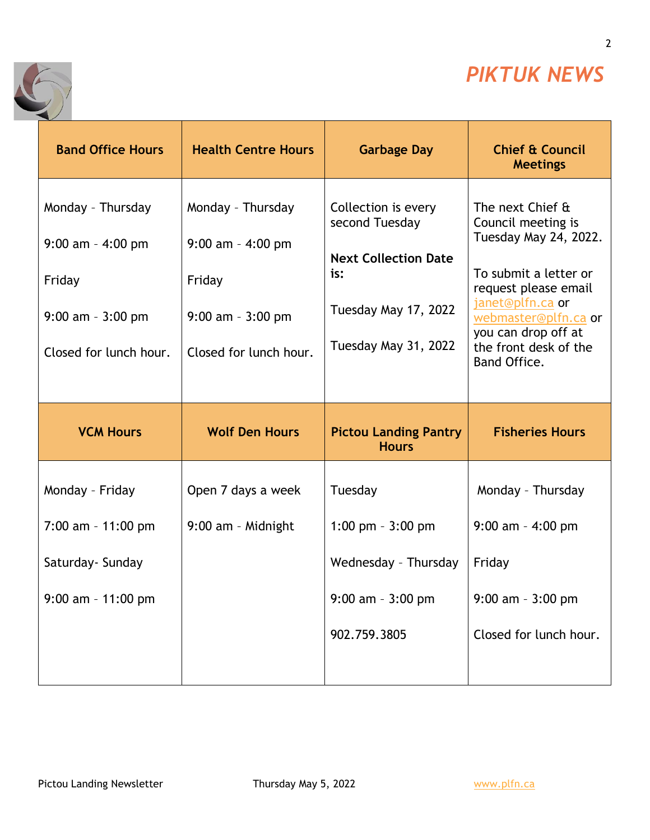

2

٦



| <b>Band Office Hours</b>                                                                              | <b>Health Centre Hours</b>                                                                              | <b>Garbage Day</b>                                                                                                          | <b>Chief &amp; Council</b><br><b>Meetings</b>                                                                                                                                                                                |
|-------------------------------------------------------------------------------------------------------|---------------------------------------------------------------------------------------------------------|-----------------------------------------------------------------------------------------------------------------------------|------------------------------------------------------------------------------------------------------------------------------------------------------------------------------------------------------------------------------|
| Monday - Thursday<br>$9:00$ am - 4:00 pm<br>Friday<br>$9:00$ am - $3:00$ pm<br>Closed for lunch hour. | Monday - Thursday<br>$9:00$ am $-$ 4:00 pm<br>Friday<br>$9:00$ am - $3:00$ pm<br>Closed for lunch hour. | Collection is every<br>second Tuesday<br><b>Next Collection Date</b><br>is:<br>Tuesday May 17, 2022<br>Tuesday May 31, 2022 | The next Chief &<br>Council meeting is<br>Tuesday May 24, 2022.<br>To submit a letter or<br>request please email<br>janet@plfn.ca or<br>webmaster@plfn.ca or<br>you can drop off at<br>the front desk of the<br>Band Office. |
|                                                                                                       |                                                                                                         |                                                                                                                             |                                                                                                                                                                                                                              |
| <b>VCM Hours</b>                                                                                      | <b>Wolf Den Hours</b>                                                                                   | <b>Pictou Landing Pantry</b><br><b>Hours</b>                                                                                | <b>Fisheries Hours</b>                                                                                                                                                                                                       |
| Monday - Friday                                                                                       | Open 7 days a week                                                                                      | Tuesday                                                                                                                     | Monday - Thursday                                                                                                                                                                                                            |
| $7:00$ am - 11:00 pm                                                                                  | 9:00 am - Midnight                                                                                      | 1:00 pm $-3:00$ pm                                                                                                          | $9:00$ am - 4:00 pm                                                                                                                                                                                                          |
| Saturday- Sunday                                                                                      |                                                                                                         | Wednesday - Thursday                                                                                                        | Friday                                                                                                                                                                                                                       |
| $9:00$ am - 11:00 pm                                                                                  |                                                                                                         | $9:00$ am - $3:00$ pm                                                                                                       | $9:00$ am - $3:00$ pm                                                                                                                                                                                                        |
|                                                                                                       |                                                                                                         | 902.759.3805                                                                                                                | Closed for lunch hour.                                                                                                                                                                                                       |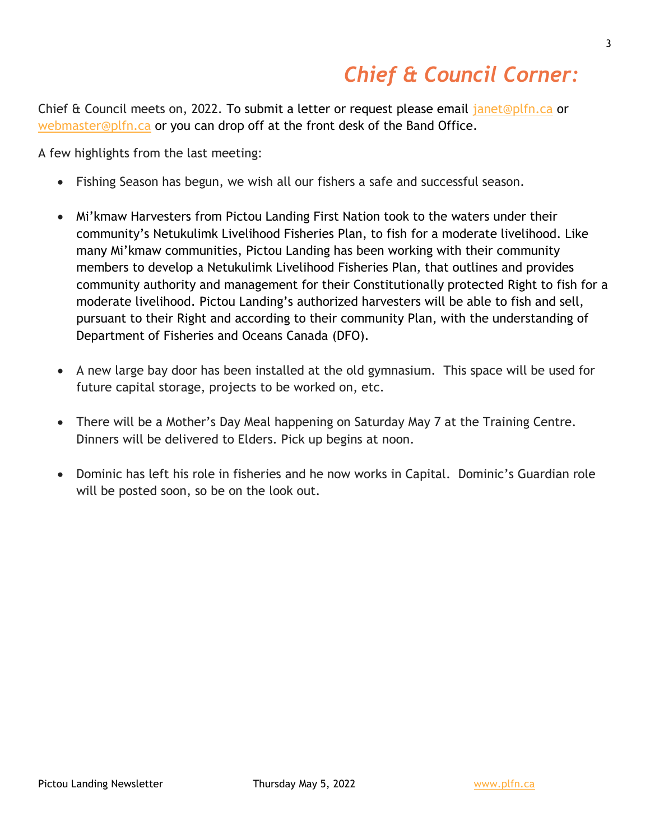## *Chief & Council Corner:*

Chief & Council meets on, 2022. To submit a letter or request please email [janet@plfn.ca](mailto:janet@plfn.ca) or [webmaster@plfn.ca](mailto:webmaster@plfn.ca) or you can drop off at the front desk of the Band Office.

A few highlights from the last meeting:

- Fishing Season has begun, we wish all our fishers a safe and successful season.
- Mi'kmaw Harvesters from Pictou Landing First Nation took to the waters under their community's Netukulimk Livelihood Fisheries Plan, to fish for a moderate livelihood. Like many Mi'kmaw communities, Pictou Landing has been working with their community members to develop a Netukulimk Livelihood Fisheries Plan, that outlines and provides community authority and management for their Constitutionally protected Right to fish for a moderate livelihood. Pictou Landing's authorized harvesters will be able to fish and sell, pursuant to their Right and according to their community Plan, with the understanding of Department of Fisheries and Oceans Canada (DFO).
- A new large bay door has been installed at the old gymnasium. This space will be used for future capital storage, projects to be worked on, etc.
- There will be a Mother's Day Meal happening on Saturday May 7 at the Training Centre. Dinners will be delivered to Elders. Pick up begins at noon.
- Dominic has left his role in fisheries and he now works in Capital. Dominic's Guardian role will be posted soon, so be on the look out.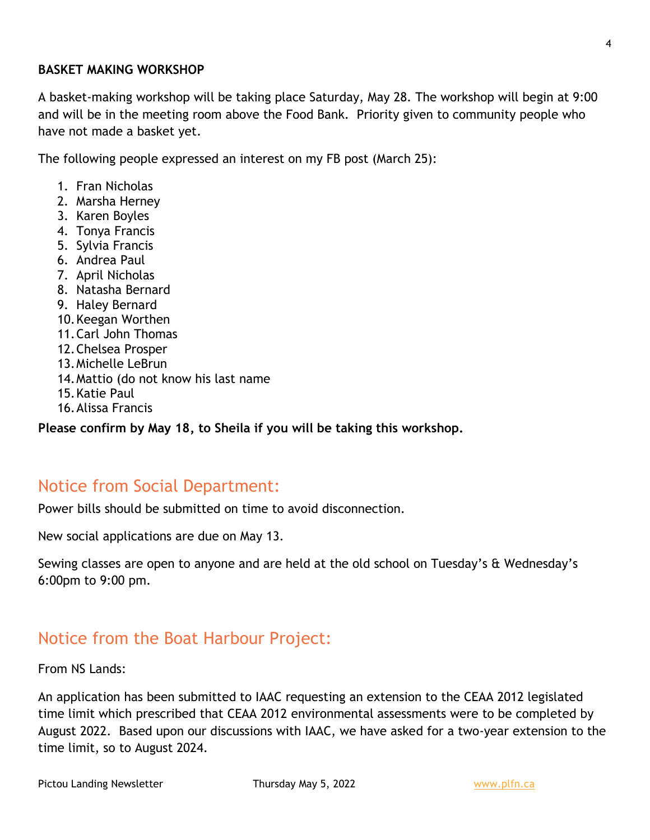#### **BASKET MAKING WORKSHOP**

A basket-making workshop will be taking place Saturday, May 28. The workshop will begin at 9:00 and will be in the meeting room above the Food Bank. Priority given to community people who have not made a basket yet.

The following people expressed an interest on my FB post (March 25):

- 1. Fran Nicholas
- 2. Marsha Herney
- 3. Karen Boyles
- 4. Tonya Francis
- 5. Sylvia Francis
- 6. Andrea Paul
- 7. April Nicholas
- 8. Natasha Bernard
- 9. Haley Bernard
- 10.Keegan Worthen
- 11.Carl John Thomas
- 12.Chelsea Prosper
- 13.Michelle LeBrun
- 14.Mattio (do not know his last name
- 15.Katie Paul
- 16.Alissa Francis

**Please confirm by May 18, to Sheila if you will be taking this workshop.**

#### Notice from Social Department:

Power bills should be submitted on time to avoid disconnection.

New social applications are due on May 13.

Sewing classes are open to anyone and are held at the old school on Tuesday's & Wednesday's 6:00pm to 9:00 pm.

#### Notice from the Boat Harbour Project:

From NS Lands:

An application has been submitted to IAAC requesting an extension to the CEAA 2012 legislated time limit which prescribed that CEAA 2012 environmental assessments were to be completed by August 2022. Based upon our discussions with IAAC, we have asked for a two-year extension to the time limit, so to August 2024.

Pictou Landing Newsletter Thursday May 5, 2022 [www.plfn.ca](http://www.plfn.ca/)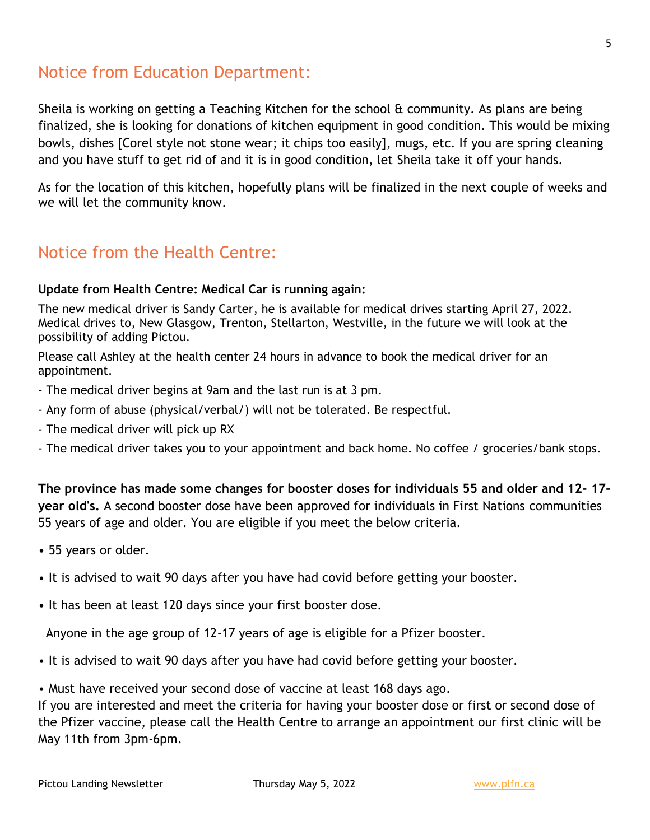#### Notice from Education Department:

Sheila is working on getting a Teaching Kitchen for the school & community. As plans are being finalized, she is looking for donations of kitchen equipment in good condition. This would be mixing bowls, dishes [Corel style not stone wear; it chips too easily], mugs, etc. If you are spring cleaning and you have stuff to get rid of and it is in good condition, let Sheila take it off your hands.

As for the location of this kitchen, hopefully plans will be finalized in the next couple of weeks and we will let the community know.

#### Notice from the Health Centre:

#### **Update from Health Centre: Medical Car is running again:**

The new medical driver is Sandy Carter, he is available for medical drives starting April 27, 2022. Medical drives to, New Glasgow, Trenton, Stellarton, Westville, in the future we will look at the possibility of adding Pictou.

Please call Ashley at the health center 24 hours in advance to book the medical driver for an appointment.

- The medical driver begins at 9am and the last run is at 3 pm.
- Any form of abuse (physical/verbal/) will not be tolerated. Be respectful.
- The medical driver will pick up RX
- The medical driver takes you to your appointment and back home. No coffee / groceries/bank stops.

**The province has made some changes for booster doses for individuals 55 and older and 12- 17 year old's.** A second booster dose have been approved for individuals in First Nations communities 55 years of age and older. You are eligible if you meet the below criteria.

- 55 years or older.
- It is advised to wait 90 days after you have had covid before getting your booster.
- It has been at least 120 days since your first booster dose.

Anyone in the age group of 12-17 years of age is eligible for a Pfizer booster.

- It is advised to wait 90 days after you have had covid before getting your booster.
- Must have received your second dose of vaccine at least 168 days ago.

If you are interested and meet the criteria for having your booster dose or first or second dose of the Pfizer vaccine, please call the Health Centre to arrange an appointment our first clinic will be May 11th from 3pm-6pm.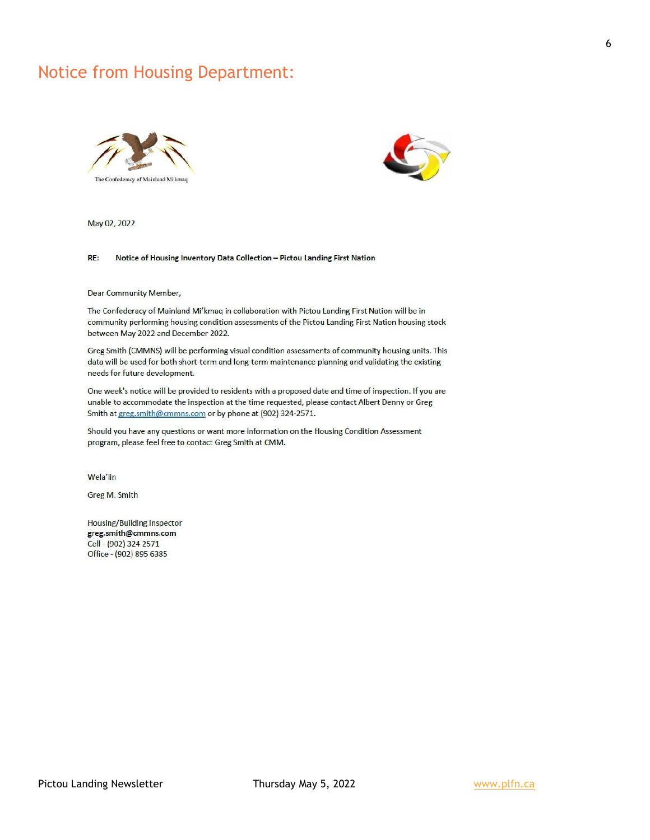#### Notice from Housing Department:





May 02, 2022

#### RE: Notice of Housing Inventory Data Collection - Pictou Landing First Nation

Dear Community Member,

The Confederacy of Mainland Mi'kmaq in collaboration with Pictou Landing First Nation will be in community performing housing condition assessments of the Pictou Landing First Nation housing stock between May 2022 and December 2022.

Greg Smith (CMMNS) will be performing visual condition assessments of community housing units. This data will be used for both short-term and long-term maintenance planning and validating the existing needs for future development.

One week's notice will be provided to residents with a proposed date and time of inspection. If you are unable to accommodate the inspection at the time requested, please contact Albert Denny or Greg Smith at greg.smith@cmmns.com or by phone at (902) 324-2571.

Should you have any questions or want more information on the Housing Condition Assessment program, please feel free to contact Greg Smith at CMM.

Wela'lin

Greg M. Smith

**Housing/Building Inspector** greg.smith@cmmns.com Cell - (902) 324 2571 Office - (902) 895 6385